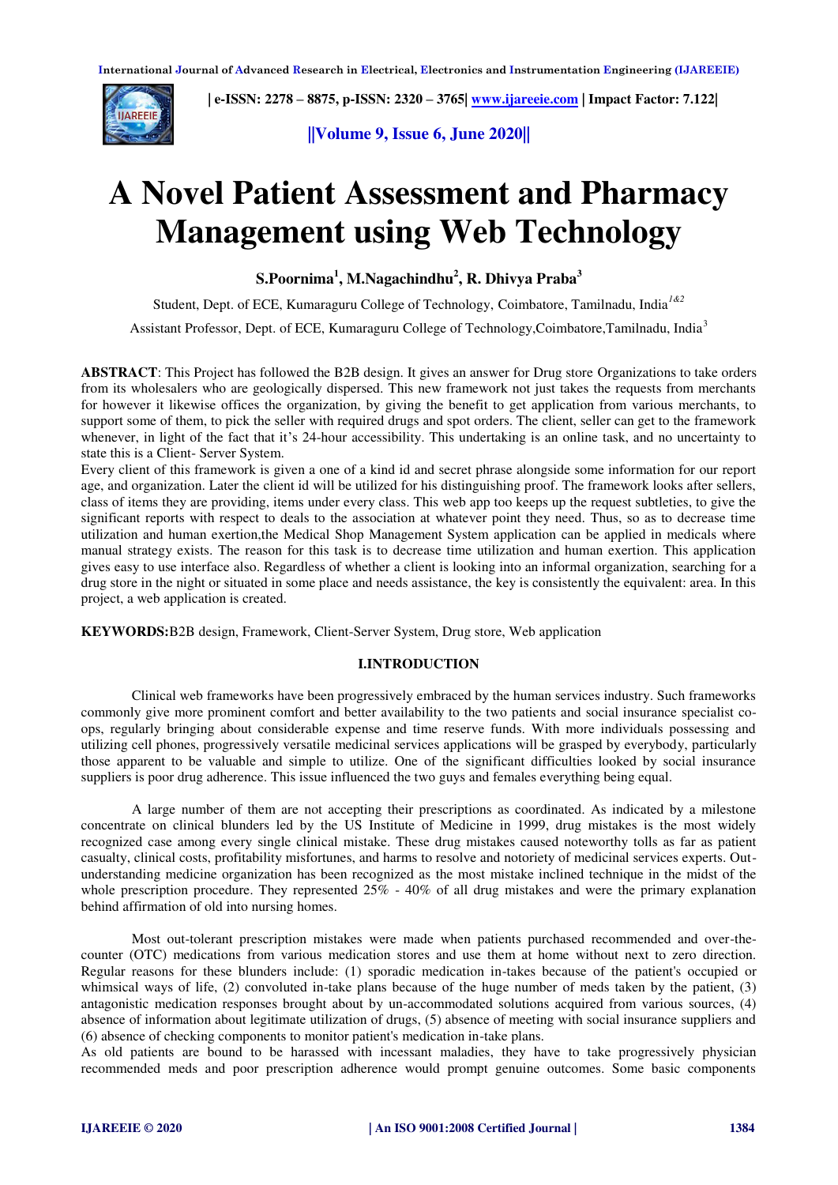

 **| e-ISSN: 2278 – 8875, p-ISSN: 2320 – 3765| <b>www.ijareeie.com** | Impact Factor: 7.122| **IMPARELIE** 

**||Volume 9, Issue 6, June 2020||** 

# **A Novel Patient Assessment and Pharmacy Management using Web Technology**

**S.Poornima<sup>1</sup> , M.Nagachindhu<sup>2</sup> , R. Dhivya Praba<sup>3</sup>**

Student, Dept. of ECE, Kumaraguru College of Technology, Coimbatore, Tamilnadu, India*1&2*

Assistant Professor, Dept. of ECE, Kumaraguru College of Technology,Coimbatore,Tamilnadu, India<sup>3</sup>

**ABSTRACT**: This Project has followed the B2B design. It gives an answer for Drug store Organizations to take orders from its wholesalers who are geologically dispersed. This new framework not just takes the requests from merchants for however it likewise offices the organization, by giving the benefit to get application from various merchants, to support some of them, to pick the seller with required drugs and spot orders. The client, seller can get to the framework whenever, in light of the fact that it's 24-hour accessibility. This undertaking is an online task, and no uncertainty to state this is a Client- Server System.

Every client of this framework is given a one of a kind id and secret phrase alongside some information for our report age, and organization. Later the client id will be utilized for his distinguishing proof. The framework looks after sellers, class of items they are providing, items under every class. This web app too keeps up the request subtleties, to give the significant reports with respect to deals to the association at whatever point they need. Thus, so as to decrease time utilization and human exertion,the Medical Shop Management System application can be applied in medicals where manual strategy exists. The reason for this task is to decrease time utilization and human exertion. This application gives easy to use interface also. Regardless of whether a client is looking into an informal organization, searching for a drug store in the night or situated in some place and needs assistance, the key is consistently the equivalent: area. In this project, a web application is created.

**KEYWORDS:**B2B design, Framework, Client-Server System, Drug store, Web application

## **I.INTRODUCTION**

Clinical web frameworks have been progressively embraced by the human services industry. Such frameworks commonly give more prominent comfort and better availability to the two patients and social insurance specialist coops, regularly bringing about considerable expense and time reserve funds. With more individuals possessing and utilizing cell phones, progressively versatile medicinal services applications will be grasped by everybody, particularly those apparent to be valuable and simple to utilize. One of the significant difficulties looked by social insurance suppliers is poor drug adherence. This issue influenced the two guys and females everything being equal.

A large number of them are not accepting their prescriptions as coordinated. As indicated by a milestone concentrate on clinical blunders led by the US Institute of Medicine in 1999, drug mistakes is the most widely recognized case among every single clinical mistake. These drug mistakes caused noteworthy tolls as far as patient casualty, clinical costs, profitability misfortunes, and harms to resolve and notoriety of medicinal services experts. Outunderstanding medicine organization has been recognized as the most mistake inclined technique in the midst of the whole prescription procedure. They represented 25% - 40% of all drug mistakes and were the primary explanation behind affirmation of old into nursing homes.

Most out-tolerant prescription mistakes were made when patients purchased recommended and over-thecounter (OTC) medications from various medication stores and use them at home without next to zero direction. Regular reasons for these blunders include: (1) sporadic medication in-takes because of the patient's occupied or whimsical ways of life, (2) convoluted in-take plans because of the huge number of meds taken by the patient, (3) antagonistic medication responses brought about by un-accommodated solutions acquired from various sources, (4) absence of information about legitimate utilization of drugs, (5) absence of meeting with social insurance suppliers and (6) absence of checking components to monitor patient's medication in-take plans.

As old patients are bound to be harassed with incessant maladies, they have to take progressively physician recommended meds and poor prescription adherence would prompt genuine outcomes. Some basic components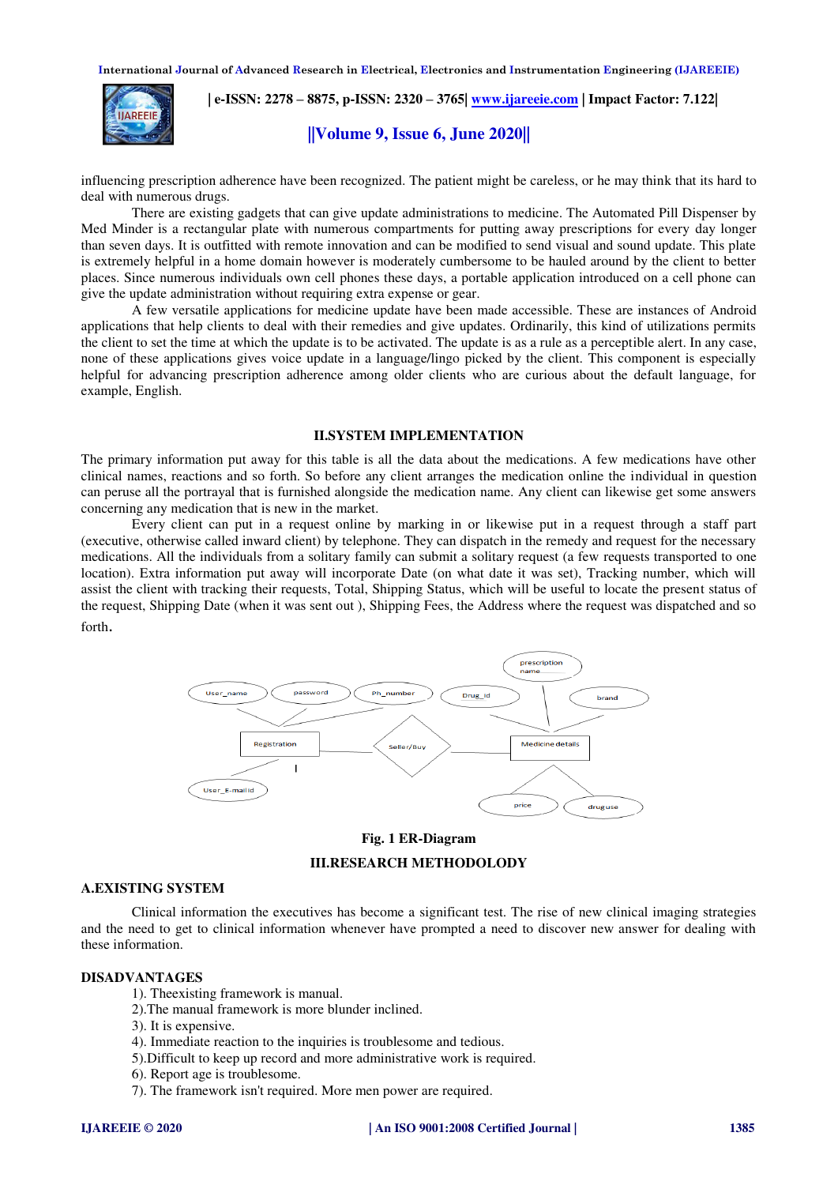

 **| e-ISSN: 2278 – 8875, p-ISSN: 2320 – 3765| [www.ijareeie.com](http://www.ijareeie.com/) | Impact Factor: 7.122|** 

## **||Volume 9, Issue 6, June 2020||**

influencing prescription adherence have been recognized. The patient might be careless, or he may think that its hard to deal with numerous drugs.

There are existing gadgets that can give update administrations to medicine. The Automated Pill Dispenser by Med Minder is a rectangular plate with numerous compartments for putting away prescriptions for every day longer than seven days. It is outfitted with remote innovation and can be modified to send visual and sound update. This plate is extremely helpful in a home domain however is moderately cumbersome to be hauled around by the client to better places. Since numerous individuals own cell phones these days, a portable application introduced on a cell phone can give the update administration without requiring extra expense or gear.

A few versatile applications for medicine update have been made accessible. These are instances of Android applications that help clients to deal with their remedies and give updates. Ordinarily, this kind of utilizations permits the client to set the time at which the update is to be activated. The update is as a rule as a perceptible alert. In any case, none of these applications gives voice update in a language/lingo picked by the client. This component is especially helpful for advancing prescription adherence among older clients who are curious about the default language, for example, English.

#### **II.SYSTEM IMPLEMENTATION**

The primary information put away for this table is all the data about the medications. A few medications have other clinical names, reactions and so forth. So before any client arranges the medication online the individual in question can peruse all the portrayal that is furnished alongside the medication name. Any client can likewise get some answers concerning any medication that is new in the market.

Every client can put in a request online by marking in or likewise put in a request through a staff part (executive, otherwise called inward client) by telephone. They can dispatch in the remedy and request for the necessary medications. All the individuals from a solitary family can submit a solitary request (a few requests transported to one location). Extra information put away will incorporate Date (on what date it was set), Tracking number, which will assist the client with tracking their requests, Total, Shipping Status, which will be useful to locate the present status of the request, Shipping Date (when it was sent out ), Shipping Fees, the Address where the request was dispatched and so forth.



## **Fig. 1 ER-Diagram**

## **III.RESEARCH METHODOLODY**

## **A.EXISTING SYSTEM**

Clinical information the executives has become a significant test. The rise of new clinical imaging strategies and the need to get to clinical information whenever have prompted a need to discover new answer for dealing with these information.

## **DISADVANTAGES**

- 1). Theexisting framework is manual.
- 2).The manual framework is more blunder inclined.
- 3). It is expensive.
- 4). Immediate reaction to the inquiries is troublesome and tedious.
- 5).Difficult to keep up record and more administrative work is required.
- 6). Report age is troublesome.
- 7). The framework isn't required. More men power are required.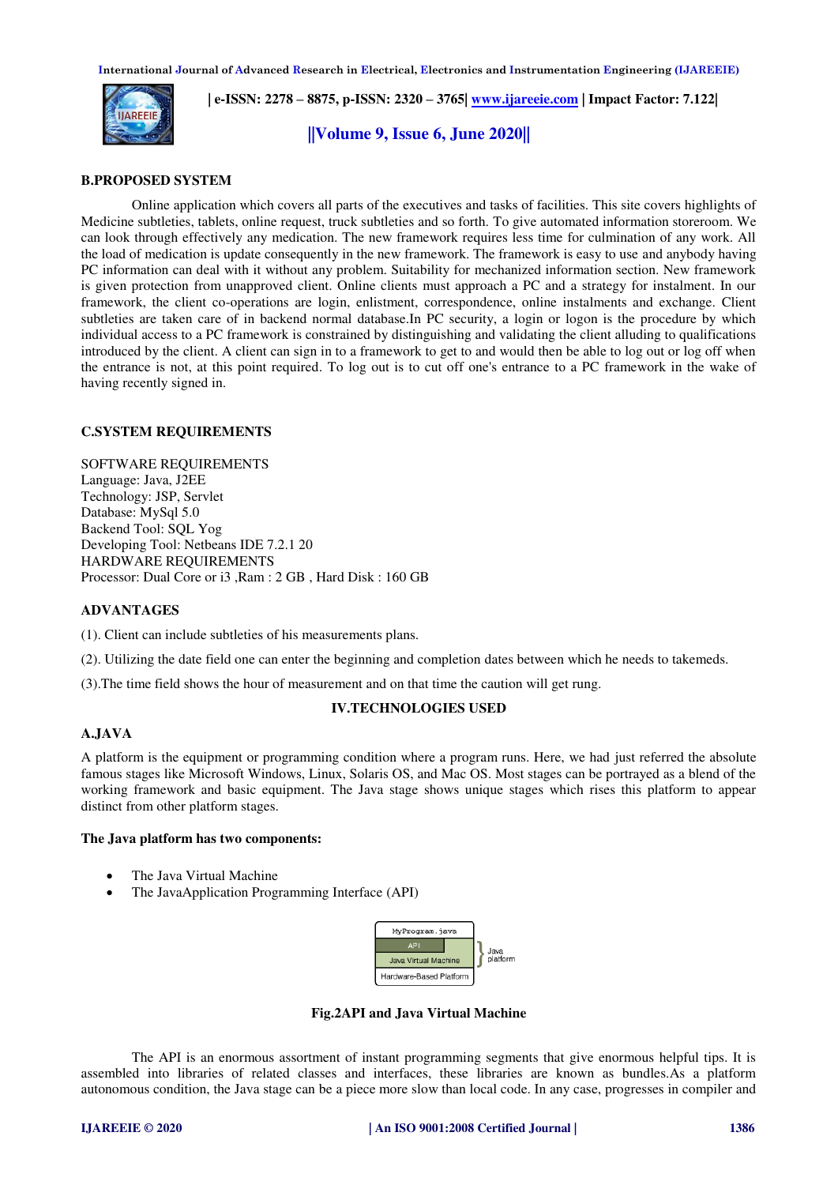

 **| e-ISSN: 2278 – 8875, p-ISSN: 2320 – 3765| [www.ijareeie.com](http://www.ijareeie.com/) | Impact Factor: 7.122|** 

**||Volume 9, Issue 6, June 2020||** 

## **B.PROPOSED SYSTEM**

Online application which covers all parts of the executives and tasks of facilities. This site covers highlights of Medicine subtleties, tablets, online request, truck subtleties and so forth. To give automated information storeroom. We can look through effectively any medication. The new framework requires less time for culmination of any work. All the load of medication is update consequently in the new framework. The framework is easy to use and anybody having PC information can deal with it without any problem. Suitability for mechanized information section. New framework is given protection from unapproved client. Online clients must approach a PC and a strategy for instalment. In our framework, the client co-operations are login, enlistment, correspondence, online instalments and exchange. Client subtleties are taken care of in backend normal database.In PC security, a login or logon is the procedure by which individual access to a PC framework is constrained by distinguishing and validating the client alluding to qualifications introduced by the client. A client can sign in to a framework to get to and would then be able to log out or log off when the entrance is not, at this point required. To log out is to cut off one's entrance to a PC framework in the wake of having recently signed in.

## **C.SYSTEM REQUIREMENTS**

SOFTWARE REQUIREMENTS Language: Java, J2EE Technology: JSP, Servlet Database: MySql 5.0 Backend Tool: SQL Yog Developing Tool: Netbeans IDE 7.2.1 20 HARDWARE REQUIREMENTS Processor: Dual Core or i3 ,Ram : 2 GB , Hard Disk : 160 GB

## **ADVANTAGES**

(1). Client can include subtleties of his measurements plans.

- (2). Utilizing the date field one can enter the beginning and completion dates between which he needs to takemeds.
- (3).The time field shows the hour of measurement and on that time the caution will get rung.

## **IV.TECHNOLOGIES USED**

## **A.JAVA**

A platform is the equipment or programming condition where a program runs. Here, we had just referred the absolute famous stages like Microsoft Windows, Linux, Solaris OS, and Mac OS. Most stages can be portrayed as a blend of the working framework and basic equipment. The Java stage shows unique stages which rises this platform to appear distinct from other platform stages.

## **The Java platform has two components:**

- The Java Virtual Machine
- The JavaApplication Programming Interface (API)



**Fig.2API and Java Virtual Machine**

The API is an enormous assortment of instant programming segments that give enormous helpful tips. It is assembled into libraries of related classes and interfaces, these libraries are known as bundles.As a platform autonomous condition, the Java stage can be a piece more slow than local code. In any case, progresses in compiler and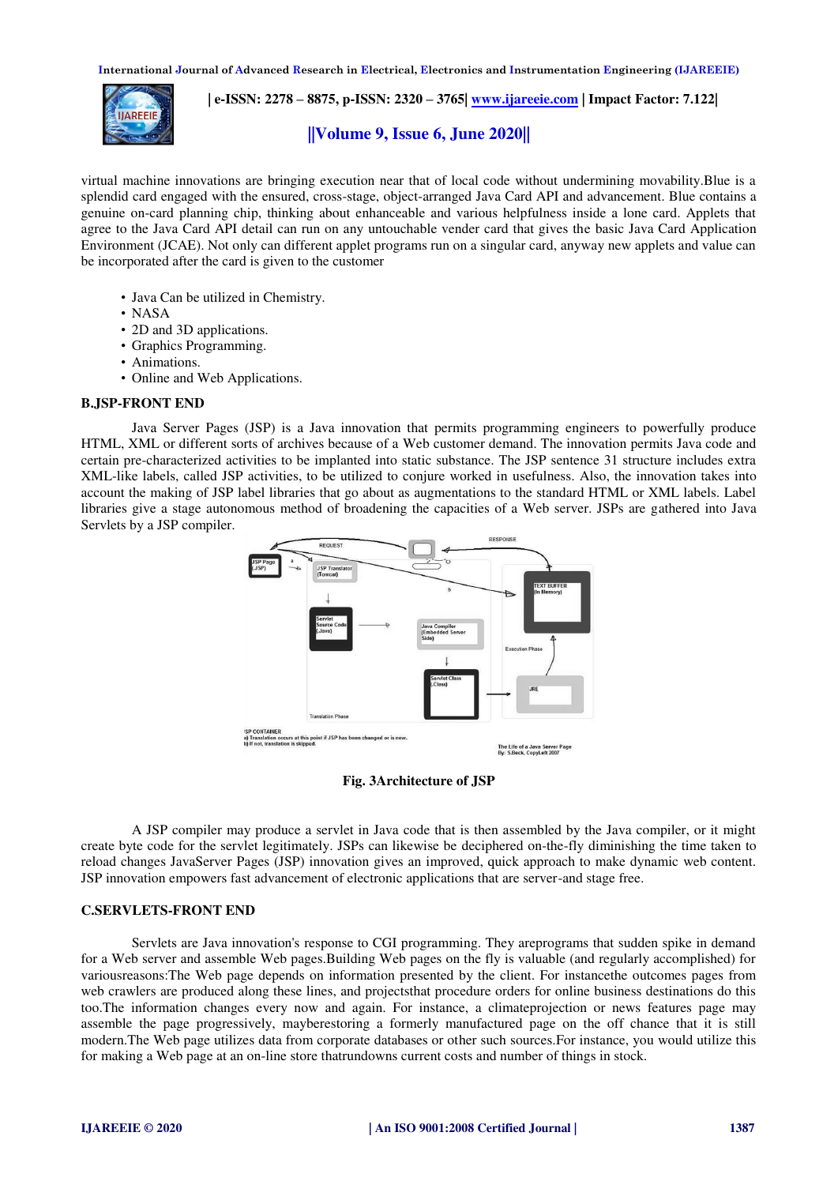

 **| e-ISSN: 2278 – 8875, p-ISSN: 2320 – 3765| [www.ijareeie.com](http://www.ijareeie.com/) | Impact Factor: 7.122|** 

## **||Volume 9, Issue 6, June 2020||**

virtual machine innovations are bringing execution near that of local code without undermining movability.Blue is a splendid card engaged with the ensured, cross-stage, object-arranged Java Card API and advancement. Blue contains a genuine on-card planning chip, thinking about enhanceable and various helpfulness inside a lone card. Applets that agree to the Java Card API detail can run on any untouchable vender card that gives the basic Java Card Application Environment (JCAE). Not only can different applet programs run on a singular card, anyway new applets and value can be incorporated after the card is given to the customer

- Java Can be utilized in Chemistry.
- NASA
- 2D and 3D applications.
- Graphics Programming.
- Animations.
- Online and Web Applications.

## **B.JSP-FRONT END**

Java Server Pages (JSP) is a Java innovation that permits programming engineers to powerfully produce HTML, XML or different sorts of archives because of a Web customer demand. The innovation permits Java code and certain pre-characterized activities to be implanted into static substance. The JSP sentence 31 structure includes extra XML-like labels, called JSP activities, to be utilized to conjure worked in usefulness. Also, the innovation takes into account the making of JSP label libraries that go about as augmentations to the standard HTML or XML labels. Label libraries give a stage autonomous method of broadening the capacities of a Web server. JSPs are gathered into Java Servlets by a JSP compiler.



## **Fig. 3Architecture of JSP**

A JSP compiler may produce a servlet in Java code that is then assembled by the Java compiler, or it might create byte code for the servlet legitimately. JSPs can likewise be deciphered on-the-fly diminishing the time taken to reload changes JavaServer Pages (JSP) innovation gives an improved, quick approach to make dynamic web content. JSP innovation empowers fast advancement of electronic applications that are server-and stage free.

## **C.SERVLETS-FRONT END**

Servlets are Java innovation's response to CGI programming. They areprograms that sudden spike in demand for a Web server and assemble Web pages.Building Web pages on the fly is valuable (and regularly accomplished) for variousreasons:The Web page depends on information presented by the client. For instancethe outcomes pages from web crawlers are produced along these lines, and projectsthat procedure orders for online business destinations do this too.The information changes every now and again. For instance, a climateprojection or news features page may assemble the page progressively, mayberestoring a formerly manufactured page on the off chance that it is still modern.The Web page utilizes data from corporate databases or other such sources.For instance, you would utilize this for making a Web page at an on-line store thatrundowns current costs and number of things in stock.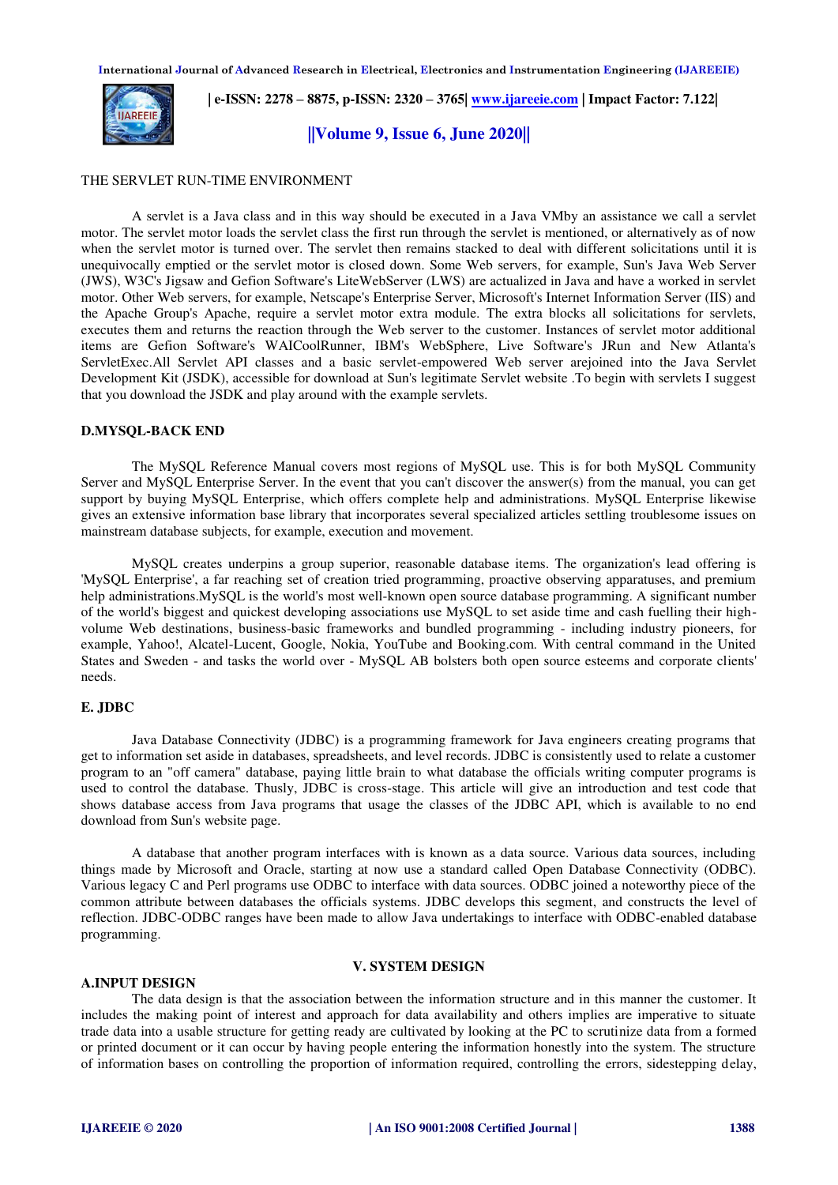

## **| e-ISSN: 2278 – 8875, p-ISSN: 2320 – 3765| [www.ijareeie.com](http://www.ijareeie.com/) | Impact Factor: 7.122|**

## **||Volume 9, Issue 6, June 2020||**

#### THE SERVLET RUN-TIME ENVIRONMENT

A servlet is a Java class and in this way should be executed in a Java VMby an assistance we call a servlet motor. The servlet motor loads the servlet class the first run through the servlet is mentioned, or alternatively as of now when the servlet motor is turned over. The servlet then remains stacked to deal with different solicitations until it is unequivocally emptied or the servlet motor is closed down. Some Web servers, for example, Sun's Java Web Server (JWS), W3C's Jigsaw and Gefion Software's LiteWebServer (LWS) are actualized in Java and have a worked in servlet motor. Other Web servers, for example, Netscape's Enterprise Server, Microsoft's Internet Information Server (IIS) and the Apache Group's Apache, require a servlet motor extra module. The extra blocks all solicitations for servlets, executes them and returns the reaction through the Web server to the customer. Instances of servlet motor additional items are Gefion Software's WAICoolRunner, IBM's WebSphere, Live Software's JRun and New Atlanta's ServletExec.All Servlet API classes and a basic servlet-empowered Web server arejoined into the Java Servlet Development Kit (JSDK), accessible for download at Sun's legitimate Servlet website .To begin with servlets I suggest that you download the JSDK and play around with the example servlets.

## **D.MYSQL-BACK END**

The MySQL Reference Manual covers most regions of MySQL use. This is for both MySQL Community Server and MySQL Enterprise Server. In the event that you can't discover the answer(s) from the manual, you can get support by buying MySQL Enterprise, which offers complete help and administrations. MySQL Enterprise likewise gives an extensive information base library that incorporates several specialized articles settling troublesome issues on mainstream database subjects, for example, execution and movement.

MySQL creates underpins a group superior, reasonable database items. The organization's lead offering is 'MySQL Enterprise', a far reaching set of creation tried programming, proactive observing apparatuses, and premium help administrations.MySQL is the world's most well-known open source database programming. A significant number of the world's biggest and quickest developing associations use MySQL to set aside time and cash fuelling their highvolume Web destinations, business-basic frameworks and bundled programming - including industry pioneers, for example, Yahoo!, Alcatel-Lucent, Google, Nokia, YouTube and Booking.com. With central command in the United States and Sweden - and tasks the world over - MySQL AB bolsters both open source esteems and corporate clients' needs.

## **E. JDBC**

Java Database Connectivity (JDBC) is a programming framework for Java engineers creating programs that get to information set aside in databases, spreadsheets, and level records. JDBC is consistently used to relate a customer program to an "off camera" database, paying little brain to what database the officials writing computer programs is used to control the database. Thusly, JDBC is cross-stage. This article will give an introduction and test code that shows database access from Java programs that usage the classes of the JDBC API, which is available to no end download from Sun's website page.

A database that another program interfaces with is known as a data source. Various data sources, including things made by Microsoft and Oracle, starting at now use a standard called Open Database Connectivity (ODBC). Various legacy C and Perl programs use ODBC to interface with data sources. ODBC joined a noteworthy piece of the common attribute between databases the officials systems. JDBC develops this segment, and constructs the level of reflection. JDBC-ODBC ranges have been made to allow Java undertakings to interface with ODBC-enabled database programming.

#### **V. SYSTEM DESIGN**

## **A.INPUT DESIGN**

The data design is that the association between the information structure and in this manner the customer. It includes the making point of interest and approach for data availability and others implies are imperative to situate trade data into a usable structure for getting ready are cultivated by looking at the PC to scrutinize data from a formed or printed document or it can occur by having people entering the information honestly into the system. The structure of information bases on controlling the proportion of information required, controlling the errors, sidestepping delay,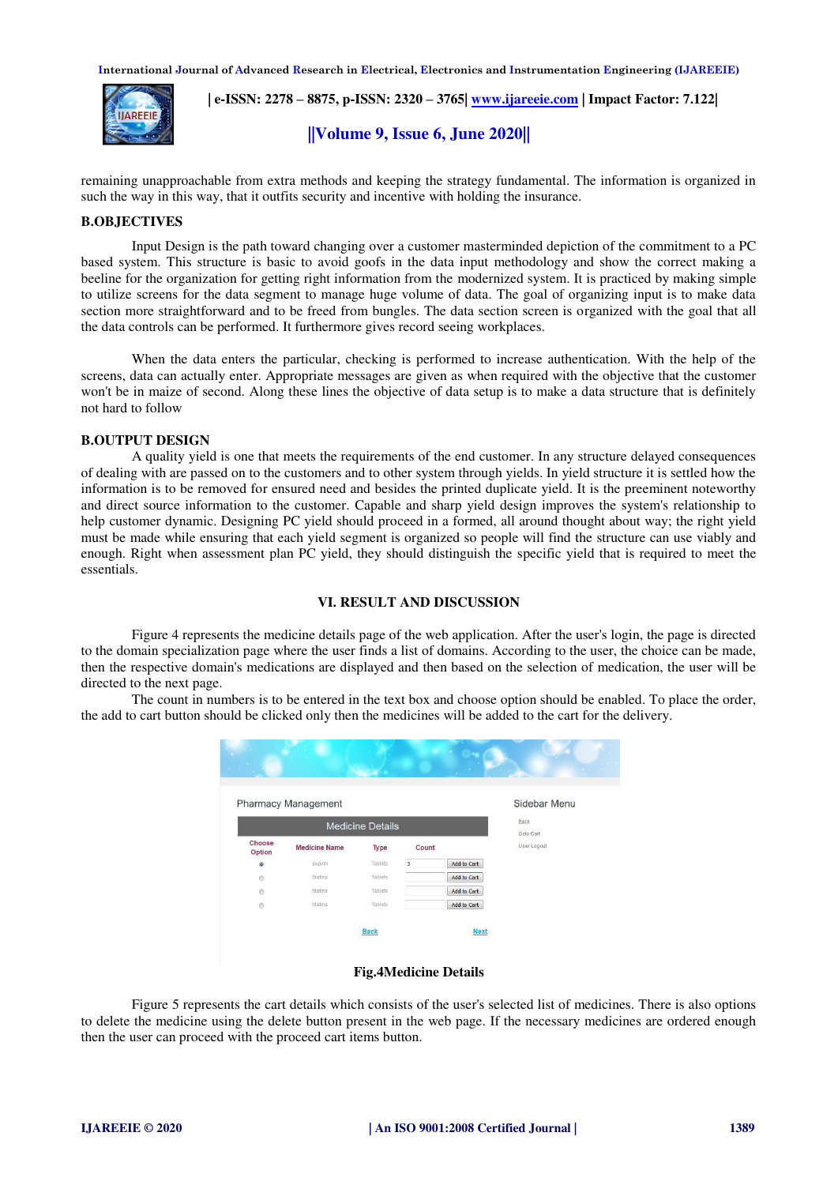

 **| e-ISSN: 2278 – 8875, p-ISSN: 2320 – 3765| [www.ijareeie.com](http://www.ijareeie.com/) | Impact Factor: 7.122|** 

## **||Volume 9, Issue 6, June 2020||**

remaining unapproachable from extra methods and keeping the strategy fundamental. The information is organized in such the way in this way, that it outfits security and incentive with holding the insurance.

## **B.OBJECTIVES**

Input Design is the path toward changing over a customer masterminded depiction of the commitment to a PC based system. This structure is basic to avoid goofs in the data input methodology and show the correct making a beeline for the organization for getting right information from the modernized system. It is practiced by making simple to utilize screens for the data segment to manage huge volume of data. The goal of organizing input is to make data section more straightforward and to be freed from bungles. The data section screen is organized with the goal that all the data controls can be performed. It furthermore gives record seeing workplaces.

When the data enters the particular, checking is performed to increase authentication. With the help of the screens, data can actually enter. Appropriate messages are given as when required with the objective that the customer won't be in maize of second. Along these lines the objective of data setup is to make a data structure that is definitely not hard to follow

## **B.OUTPUT DESIGN**

A quality yield is one that meets the requirements of the end customer. In any structure delayed consequences of dealing with are passed on to the customers and to other system through yields. In yield structure it is settled how the information is to be removed for ensured need and besides the printed duplicate yield. It is the preeminent noteworthy and direct source information to the customer. Capable and sharp yield design improves the system's relationship to help customer dynamic. Designing PC yield should proceed in a formed, all around thought about way; the right vield must be made while ensuring that each yield segment is organized so people will find the structure can use viably and enough. Right when assessment plan PC yield, they should distinguish the specific yield that is required to meet the essentials.

## **VI. RESULT AND DISCUSSION**

Figure 4 represents the medicine details page of the web application. After the user's login, the page is directed to the domain specialization page where the user finds a list of domains. According to the user, the choice can be made, then the respective domain's medications are displayed and then based on the selection of medication, the user will be directed to the next page.

The count in numbers is to be entered in the text box and choose option should be enabled. To place the order, the add to cart button should be clicked only then the medicines will be added to the cart for the delivery.

|                  | <b>Pharmacy Management</b> |                         |                |                    | Sidebar Menu      |
|------------------|----------------------------|-------------------------|----------------|--------------------|-------------------|
|                  |                            | <b>Medicine Details</b> |                |                    | Back<br>Goto Cart |
| Choose<br>Option | <b>Medicine Name</b>       | Type                    | Count          |                    | User Logout       |
| ۵                | aspirin                    | Tablets                 | $\overline{3}$ | <b>Add to Cart</b> |                   |
| $^{\circ}$       | <b>Statins</b>             | Tablets                 |                | <b>Add to Cart</b> |                   |
| $\circ$          | <b>Statins</b>             | Tablets                 |                | <b>Add to Cart</b> |                   |
| $\circ$          | <b>Statins</b>             | Tablets                 |                | Add to Cart        |                   |
|                  |                            | <b>Back</b>             |                | <b>Next</b>        |                   |

#### **Fig.4Medicine Details**

Figure 5 represents the cart details which consists of the user's selected list of medicines. There is also options to delete the medicine using the delete button present in the web page. If the necessary medicines are ordered enough then the user can proceed with the proceed cart items button.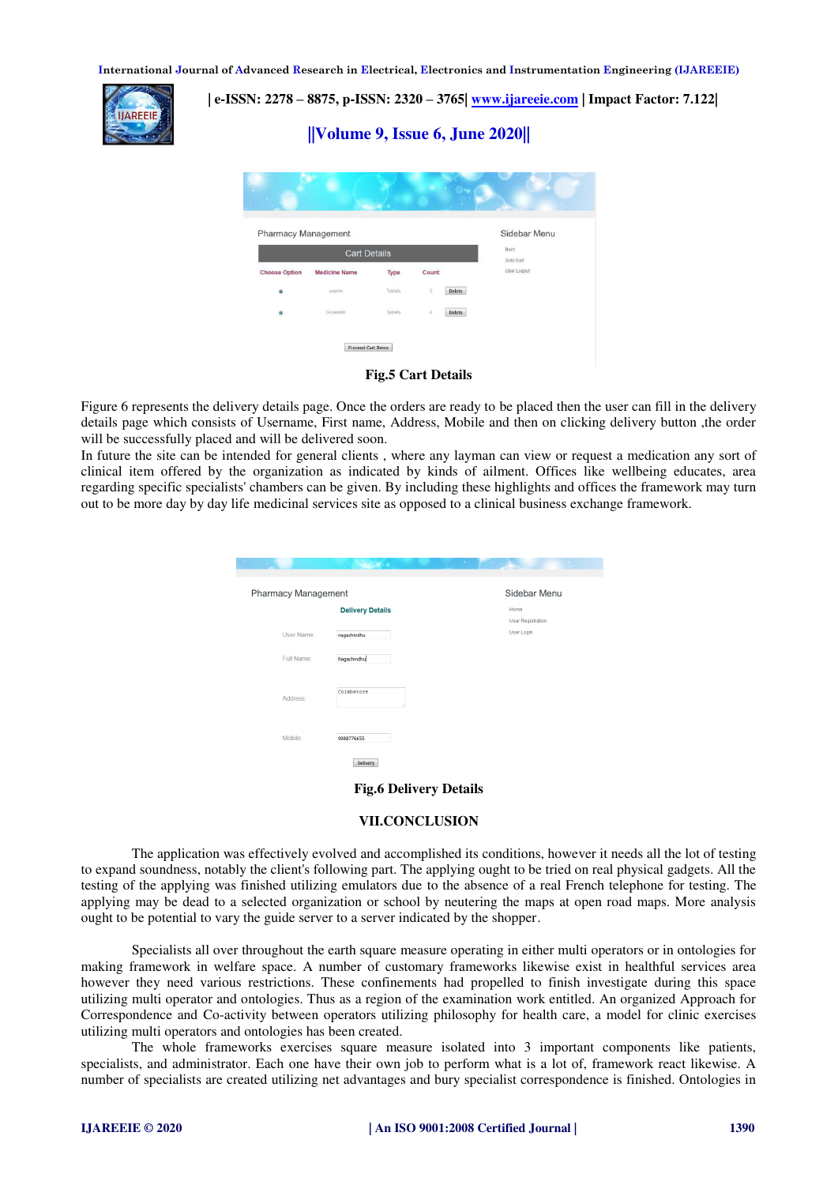

## **| e-ISSN: 2278 – 8875, p-ISSN: 2320 – 3765| [www.ijareeie.com](http://www.ijareeie.com/) | Impact Factor: 7.122|**





## **Fig.5 Cart Details**

Figure 6 represents the delivery details page. Once the orders are ready to be placed then the user can fill in the delivery details page which consists of Username, First name, Address, Mobile and then on clicking delivery button ,the order will be successfully placed and will be delivered soon.

In future the site can be intended for general clients , where any layman can view or request a medication any sort of clinical item offered by the organization as indicated by kinds of ailment. Offices like wellbeing educates, area regarding specific specialists' chambers can be given. By including these highlights and offices the framework may turn out to be more day by day life medicinal services site as opposed to a clinical business exchange framework.

| <b>Pharmacy Management</b> |                         | Sidebar Menu                     |
|----------------------------|-------------------------|----------------------------------|
|                            | <b>Delivery Details</b> | Home<br><b>User Registration</b> |
| User Name:                 | nagachindhu             | <b>User Login</b>                |
| Full Name:                 | Nagachindhu             |                                  |
| Address:                   | Coimbatore<br>d.        |                                  |
| Mobile:                    | 9988776655              |                                  |
|                            |                         |                                  |

## **Fig.6 Delivery Details**

## **VII.CONCLUSION**

The application was effectively evolved and accomplished its conditions, however it needs all the lot of testing to expand soundness, notably the client's following part. The applying ought to be tried on real physical gadgets. All the testing of the applying was finished utilizing emulators due to the absence of a real French telephone for testing. The applying may be dead to a selected organization or school by neutering the maps at open road maps. More analysis ought to be potential to vary the guide server to a server indicated by the shopper.

Specialists all over throughout the earth square measure operating in either multi operators or in ontologies for making framework in welfare space. A number of customary frameworks likewise exist in healthful services area however they need various restrictions. These confinements had propelled to finish investigate during this space utilizing multi operator and ontologies. Thus as a region of the examination work entitled. An organized Approach for Correspondence and Co-activity between operators utilizing philosophy for health care, a model for clinic exercises utilizing multi operators and ontologies has been created.

The whole frameworks exercises square measure isolated into 3 important components like patients, specialists, and administrator. Each one have their own job to perform what is a lot of, framework react likewise. A number of specialists are created utilizing net advantages and bury specialist correspondence is finished. Ontologies in